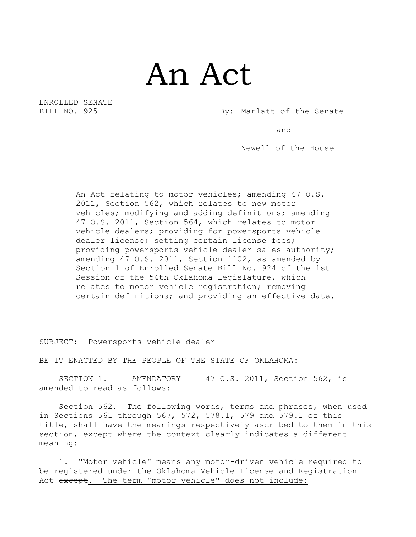## An Act

ENROLLED SENATE

BILL NO. 925 By: Marlatt of the Senate

and

Newell of the House

An Act relating to motor vehicles; amending 47 O.S. 2011, Section 562, which relates to new motor vehicles; modifying and adding definitions; amending 47 O.S. 2011, Section 564, which relates to motor vehicle dealers; providing for powersports vehicle dealer license; setting certain license fees; providing powersports vehicle dealer sales authority; amending 47 O.S. 2011, Section 1102, as amended by Section 1 of Enrolled Senate Bill No. 924 of the 1st Session of the 54th Oklahoma Legislature, which relates to motor vehicle registration; removing certain definitions; and providing an effective date.

SUBJECT: Powersports vehicle dealer

BE IT ENACTED BY THE PEOPLE OF THE STATE OF OKLAHOMA:

SECTION 1. AMENDATORY 47 O.S. 2011, Section 562, is amended to read as follows:

Section 562. The following words, terms and phrases, when used in Sections 561 through 567, 572, 578.1, 579 and 579.1 of this title, shall have the meanings respectively ascribed to them in this section, except where the context clearly indicates a different meaning:

1. "Motor vehicle" means any motor-driven vehicle required to be registered under the Oklahoma Vehicle License and Registration Act except. The term "motor vehicle" does not include: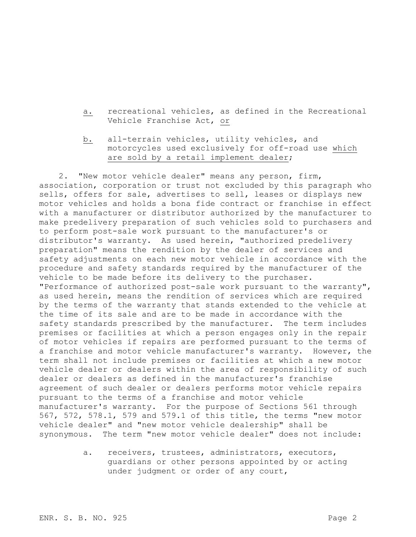- a. recreational vehicles, as defined in the Recreational Vehicle Franchise Act, or
- b. all-terrain vehicles, utility vehicles, and motorcycles used exclusively for off-road use which are sold by a retail implement dealer;

2. "New motor vehicle dealer" means any person, firm, association, corporation or trust not excluded by this paragraph who sells, offers for sale, advertises to sell, leases or displays new motor vehicles and holds a bona fide contract or franchise in effect with a manufacturer or distributor authorized by the manufacturer to make predelivery preparation of such vehicles sold to purchasers and to perform post-sale work pursuant to the manufacturer's or distributor's warranty. As used herein, "authorized predelivery preparation" means the rendition by the dealer of services and safety adjustments on each new motor vehicle in accordance with the procedure and safety standards required by the manufacturer of the vehicle to be made before its delivery to the purchaser. "Performance of authorized post-sale work pursuant to the warranty", as used herein, means the rendition of services which are required by the terms of the warranty that stands extended to the vehicle at the time of its sale and are to be made in accordance with the safety standards prescribed by the manufacturer. The term includes premises or facilities at which a person engages only in the repair of motor vehicles if repairs are performed pursuant to the terms of a franchise and motor vehicle manufacturer's warranty. However, the term shall not include premises or facilities at which a new motor vehicle dealer or dealers within the area of responsibility of such dealer or dealers as defined in the manufacturer's franchise agreement of such dealer or dealers performs motor vehicle repairs pursuant to the terms of a franchise and motor vehicle manufacturer's warranty. For the purpose of Sections 561 through 567, 572, 578.1, 579 and 579.1 of this title, the terms "new motor vehicle dealer" and "new motor vehicle dealership" shall be synonymous. The term "new motor vehicle dealer" does not include:

> a. receivers, trustees, administrators, executors, guardians or other persons appointed by or acting under judgment or order of any court,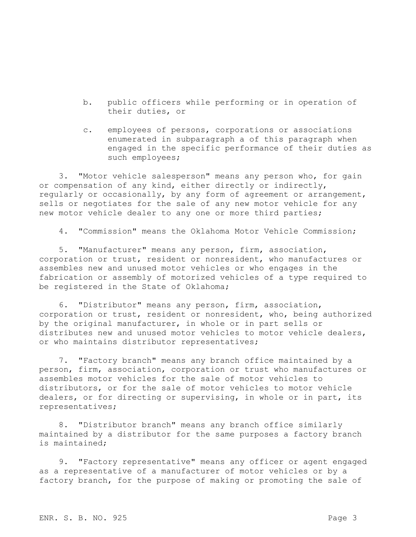- b. public officers while performing or in operation of their duties, or
- c. employees of persons, corporations or associations enumerated in subparagraph a of this paragraph when engaged in the specific performance of their duties as such employees;

3. "Motor vehicle salesperson" means any person who, for gain or compensation of any kind, either directly or indirectly, regularly or occasionally, by any form of agreement or arrangement, sells or negotiates for the sale of any new motor vehicle for any new motor vehicle dealer to any one or more third parties;

4. "Commission" means the Oklahoma Motor Vehicle Commission;

5. "Manufacturer" means any person, firm, association, corporation or trust, resident or nonresident, who manufactures or assembles new and unused motor vehicles or who engages in the fabrication or assembly of motorized vehicles of a type required to be registered in the State of Oklahoma;

6. "Distributor" means any person, firm, association, corporation or trust, resident or nonresident, who, being authorized by the original manufacturer, in whole or in part sells or distributes new and unused motor vehicles to motor vehicle dealers, or who maintains distributor representatives;

7. "Factory branch" means any branch office maintained by a person, firm, association, corporation or trust who manufactures or assembles motor vehicles for the sale of motor vehicles to distributors, or for the sale of motor vehicles to motor vehicle dealers, or for directing or supervising, in whole or in part, its representatives;

8. "Distributor branch" means any branch office similarly maintained by a distributor for the same purposes a factory branch is maintained;

9. "Factory representative" means any officer or agent engaged as a representative of a manufacturer of motor vehicles or by a factory branch, for the purpose of making or promoting the sale of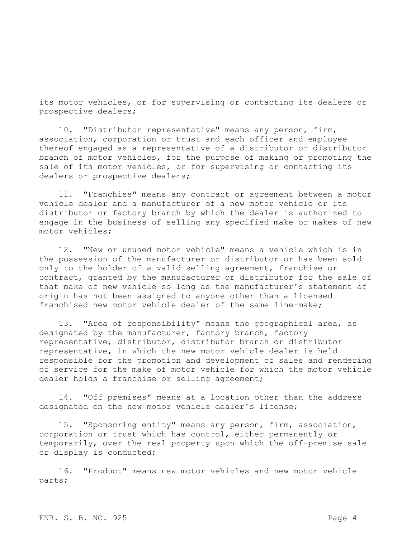its motor vehicles, or for supervising or contacting its dealers or prospective dealers;

10. "Distributor representative" means any person, firm, association, corporation or trust and each officer and employee thereof engaged as a representative of a distributor or distributor branch of motor vehicles, for the purpose of making or promoting the sale of its motor vehicles, or for supervising or contacting its dealers or prospective dealers;

11. "Franchise" means any contract or agreement between a motor vehicle dealer and a manufacturer of a new motor vehicle or its distributor or factory branch by which the dealer is authorized to engage in the business of selling any specified make or makes of new motor vehicles;

12. "New or unused motor vehicle" means a vehicle which is in the possession of the manufacturer or distributor or has been sold only to the holder of a valid selling agreement, franchise or contract, granted by the manufacturer or distributor for the sale of that make of new vehicle so long as the manufacturer's statement of origin has not been assigned to anyone other than a licensed franchised new motor vehicle dealer of the same line-make;

13. "Area of responsibility" means the geographical area, as designated by the manufacturer, factory branch, factory representative, distributor, distributor branch or distributor representative, in which the new motor vehicle dealer is held responsible for the promotion and development of sales and rendering of service for the make of motor vehicle for which the motor vehicle dealer holds a franchise or selling agreement;

14. "Off premises" means at a location other than the address designated on the new motor vehicle dealer's license;

15. "Sponsoring entity" means any person, firm, association, corporation or trust which has control, either permanently or temporarily, over the real property upon which the off-premise sale or display is conducted;

16. "Product" means new motor vehicles and new motor vehicle parts;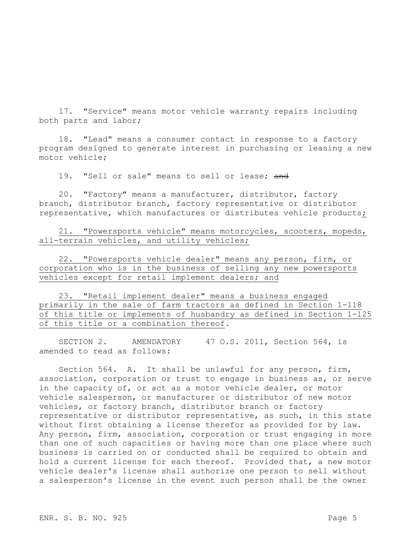17. "Service" means motor vehicle warranty repairs including both parts and labor;

18. "Lead" means a consumer contact in response to a factory program designed to generate interest in purchasing or leasing a new motor vehicle;

19. "Sell or sale" means to sell or lease; and

20. "Factory" means a manufacturer, distributor, factory branch, distributor branch, factory representative or distributor representative, which manufactures or distributes vehicle products;

21. "Powersports vehicle" means motorcycles, scooters, mopeds, all-terrain vehicles, and utility vehicles;

22. "Powersports vehicle dealer" means any person, firm, or corporation who is in the business of selling any new powersports vehicles except for retail implement dealers; and

23. "Retail implement dealer" means a business engaged primarily in the sale of farm tractors as defined in Section 1-118 of this title or implements of husbandry as defined in Section 1-125 of this title or a combination thereof.

SECTION 2. AMENDATORY 47 O.S. 2011, Section 564, is amended to read as follows:

Section 564. A. It shall be unlawful for any person, firm, association, corporation or trust to engage in business as, or serve in the capacity of, or act as a motor vehicle dealer, or motor vehicle salesperson, or manufacturer or distributor of new motor vehicles, or factory branch, distributor branch or factory representative or distributor representative, as such, in this state without first obtaining a license therefor as provided for by law. Any person, firm, association, corporation or trust engaging in more than one of such capacities or having more than one place where such business is carried on or conducted shall be required to obtain and hold a current license for each thereof. Provided that, a new motor vehicle dealer's license shall authorize one person to sell without a salesperson's license in the event such person shall be the owner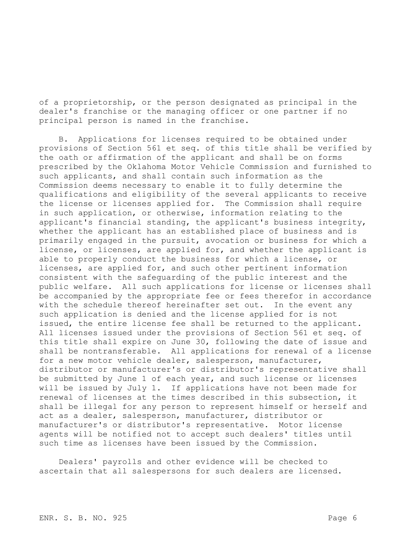of a proprietorship, or the person designated as principal in the dealer's franchise or the managing officer or one partner if no principal person is named in the franchise.

B. Applications for licenses required to be obtained under provisions of Section 561 et seq. of this title shall be verified by the oath or affirmation of the applicant and shall be on forms prescribed by the Oklahoma Motor Vehicle Commission and furnished to such applicants, and shall contain such information as the Commission deems necessary to enable it to fully determine the qualifications and eligibility of the several applicants to receive the license or licenses applied for. The Commission shall require in such application, or otherwise, information relating to the applicant's financial standing, the applicant's business integrity, whether the applicant has an established place of business and is primarily engaged in the pursuit, avocation or business for which a license, or licenses, are applied for, and whether the applicant is able to properly conduct the business for which a license, or licenses, are applied for, and such other pertinent information consistent with the safeguarding of the public interest and the public welfare. All such applications for license or licenses shall be accompanied by the appropriate fee or fees therefor in accordance with the schedule thereof hereinafter set out. In the event any such application is denied and the license applied for is not issued, the entire license fee shall be returned to the applicant. All licenses issued under the provisions of Section 561 et seq. of this title shall expire on June 30, following the date of issue and shall be nontransferable. All applications for renewal of a license for a new motor vehicle dealer, salesperson, manufacturer, distributor or manufacturer's or distributor's representative shall be submitted by June 1 of each year, and such license or licenses will be issued by July 1. If applications have not been made for renewal of licenses at the times described in this subsection, it shall be illegal for any person to represent himself or herself and act as a dealer, salesperson, manufacturer, distributor or manufacturer's or distributor's representative. Motor license agents will be notified not to accept such dealers' titles until such time as licenses have been issued by the Commission.

Dealers' payrolls and other evidence will be checked to ascertain that all salespersons for such dealers are licensed.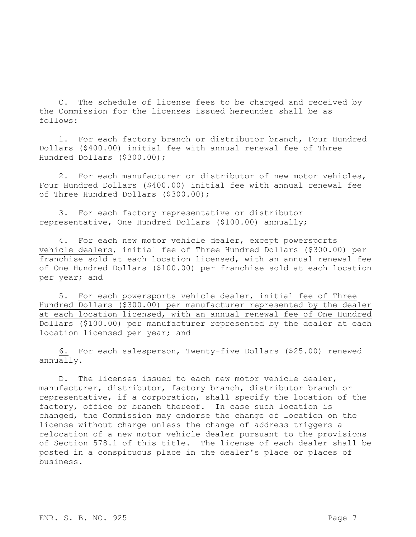C. The schedule of license fees to be charged and received by the Commission for the licenses issued hereunder shall be as follows:

1. For each factory branch or distributor branch, Four Hundred Dollars (\$400.00) initial fee with annual renewal fee of Three Hundred Dollars (\$300.00);

2. For each manufacturer or distributor of new motor vehicles, Four Hundred Dollars (\$400.00) initial fee with annual renewal fee of Three Hundred Dollars (\$300.00);

3. For each factory representative or distributor representative, One Hundred Dollars (\$100.00) annually;

4. For each new motor vehicle dealer, except powersports vehicle dealers, initial fee of Three Hundred Dollars (\$300.00) per franchise sold at each location licensed, with an annual renewal fee of One Hundred Dollars (\$100.00) per franchise sold at each location per year; and

5. For each powersports vehicle dealer, initial fee of Three Hundred Dollars (\$300.00) per manufacturer represented by the dealer at each location licensed, with an annual renewal fee of One Hundred Dollars (\$100.00) per manufacturer represented by the dealer at each location licensed per year; and

6. For each salesperson, Twenty-five Dollars (\$25.00) renewed annually.

D. The licenses issued to each new motor vehicle dealer, manufacturer, distributor, factory branch, distributor branch or representative, if a corporation, shall specify the location of the factory, office or branch thereof. In case such location is changed, the Commission may endorse the change of location on the license without charge unless the change of address triggers a relocation of a new motor vehicle dealer pursuant to the provisions of Section 578.1 of this title. The license of each dealer shall be posted in a conspicuous place in the dealer's place or places of business.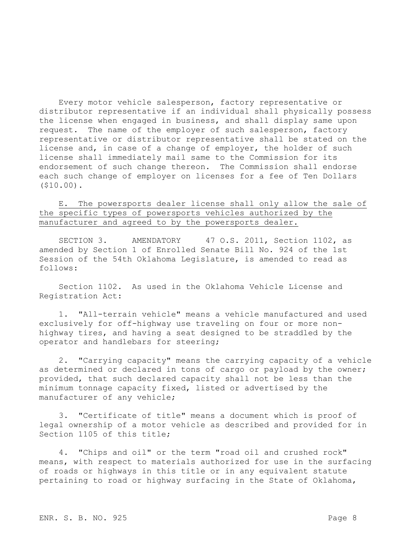Every motor vehicle salesperson, factory representative or distributor representative if an individual shall physically possess the license when engaged in business, and shall display same upon request. The name of the employer of such salesperson, factory representative or distributor representative shall be stated on the license and, in case of a change of employer, the holder of such license shall immediately mail same to the Commission for its endorsement of such change thereon. The Commission shall endorse each such change of employer on licenses for a fee of Ten Dollars (\$10.00).

E. The powersports dealer license shall only allow the sale of the specific types of powersports vehicles authorized by the manufacturer and agreed to by the powersports dealer.

SECTION 3. AMENDATORY 47 O.S. 2011, Section 1102, as amended by Section 1 of Enrolled Senate Bill No. 924 of the 1st Session of the 54th Oklahoma Legislature, is amended to read as follows:

Section 1102. As used in the Oklahoma Vehicle License and Registration Act:

1. "All-terrain vehicle" means a vehicle manufactured and used exclusively for off-highway use traveling on four or more nonhighway tires, and having a seat designed to be straddled by the operator and handlebars for steering;

2. "Carrying capacity" means the carrying capacity of a vehicle as determined or declared in tons of cargo or payload by the owner; provided, that such declared capacity shall not be less than the minimum tonnage capacity fixed, listed or advertised by the manufacturer of any vehicle;

3. "Certificate of title" means a document which is proof of legal ownership of a motor vehicle as described and provided for in Section 1105 of this title;

4. "Chips and oil" or the term "road oil and crushed rock" means, with respect to materials authorized for use in the surfacing of roads or highways in this title or in any equivalent statute pertaining to road or highway surfacing in the State of Oklahoma,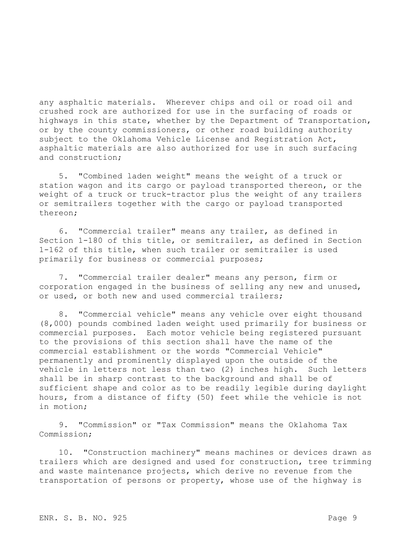any asphaltic materials. Wherever chips and oil or road oil and crushed rock are authorized for use in the surfacing of roads or highways in this state, whether by the Department of Transportation, or by the county commissioners, or other road building authority subject to the Oklahoma Vehicle License and Registration Act, asphaltic materials are also authorized for use in such surfacing and construction;

5. "Combined laden weight" means the weight of a truck or station wagon and its cargo or payload transported thereon, or the weight of a truck or truck-tractor plus the weight of any trailers or semitrailers together with the cargo or payload transported thereon;

6. "Commercial trailer" means any trailer, as defined in Section 1-180 of this title, or semitrailer, as defined in Section 1-162 of this title, when such trailer or semitrailer is used primarily for business or commercial purposes;

7. "Commercial trailer dealer" means any person, firm or corporation engaged in the business of selling any new and unused, or used, or both new and used commercial trailers;

8. "Commercial vehicle" means any vehicle over eight thousand (8,000) pounds combined laden weight used primarily for business or commercial purposes. Each motor vehicle being registered pursuant to the provisions of this section shall have the name of the commercial establishment or the words "Commercial Vehicle" permanently and prominently displayed upon the outside of the vehicle in letters not less than two (2) inches high. Such letters shall be in sharp contrast to the background and shall be of sufficient shape and color as to be readily legible during daylight hours, from a distance of fifty (50) feet while the vehicle is not in motion;

9. "Commission" or "Tax Commission" means the Oklahoma Tax Commission;

10. "Construction machinery" means machines or devices drawn as trailers which are designed and used for construction, tree trimming and waste maintenance projects, which derive no revenue from the transportation of persons or property, whose use of the highway is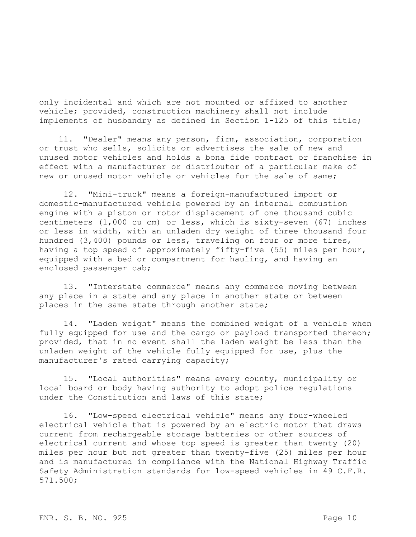only incidental and which are not mounted or affixed to another vehicle; provided, construction machinery shall not include implements of husbandry as defined in Section 1-125 of this title;

11. "Dealer" means any person, firm, association, corporation or trust who sells, solicits or advertises the sale of new and unused motor vehicles and holds a bona fide contract or franchise in effect with a manufacturer or distributor of a particular make of new or unused motor vehicle or vehicles for the sale of same;

12. "Mini-truck" means a foreign-manufactured import or domestic-manufactured vehicle powered by an internal combustion engine with a piston or rotor displacement of one thousand cubic centimeters (1,000 cu cm) or less, which is sixty-seven (67) inches or less in width, with an unladen dry weight of three thousand four hundred (3,400) pounds or less, traveling on four or more tires, having a top speed of approximately fifty-five (55) miles per hour, equipped with a bed or compartment for hauling, and having an enclosed passenger cab;

13. "Interstate commerce" means any commerce moving between any place in a state and any place in another state or between places in the same state through another state;

14. "Laden weight" means the combined weight of a vehicle when fully equipped for use and the cargo or payload transported thereon; provided, that in no event shall the laden weight be less than the unladen weight of the vehicle fully equipped for use, plus the manufacturer's rated carrying capacity;

15. "Local authorities" means every county, municipality or local board or body having authority to adopt police regulations under the Constitution and laws of this state;

16. "Low-speed electrical vehicle" means any four-wheeled electrical vehicle that is powered by an electric motor that draws current from rechargeable storage batteries or other sources of electrical current and whose top speed is greater than twenty (20) miles per hour but not greater than twenty-five (25) miles per hour and is manufactured in compliance with the National Highway Traffic Safety Administration standards for low-speed vehicles in 49 C.F.R. 571.500;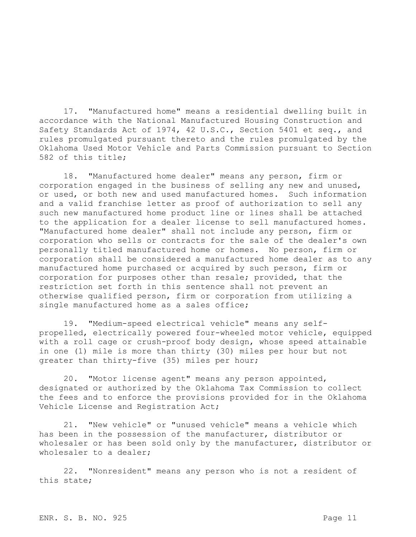17. "Manufactured home" means a residential dwelling built in accordance with the National Manufactured Housing Construction and Safety Standards Act of 1974, 42 U.S.C., Section 5401 et seq., and rules promulgated pursuant thereto and the rules promulgated by the Oklahoma Used Motor Vehicle and Parts Commission pursuant to Section 582 of this title;

18. "Manufactured home dealer" means any person, firm or corporation engaged in the business of selling any new and unused, or used, or both new and used manufactured homes. Such information and a valid franchise letter as proof of authorization to sell any such new manufactured home product line or lines shall be attached to the application for a dealer license to sell manufactured homes. "Manufactured home dealer" shall not include any person, firm or corporation who sells or contracts for the sale of the dealer's own personally titled manufactured home or homes. No person, firm or corporation shall be considered a manufactured home dealer as to any manufactured home purchased or acquired by such person, firm or corporation for purposes other than resale; provided, that the restriction set forth in this sentence shall not prevent an otherwise qualified person, firm or corporation from utilizing a single manufactured home as a sales office;

19. "Medium-speed electrical vehicle" means any selfpropelled, electrically powered four-wheeled motor vehicle, equipped with a roll cage or crush-proof body design, whose speed attainable in one (1) mile is more than thirty (30) miles per hour but not greater than thirty-five (35) miles per hour;

20. "Motor license agent" means any person appointed, designated or authorized by the Oklahoma Tax Commission to collect the fees and to enforce the provisions provided for in the Oklahoma Vehicle License and Registration Act;

21. "New vehicle" or "unused vehicle" means a vehicle which has been in the possession of the manufacturer, distributor or wholesaler or has been sold only by the manufacturer, distributor or wholesaler to a dealer;

22. "Nonresident" means any person who is not a resident of this state;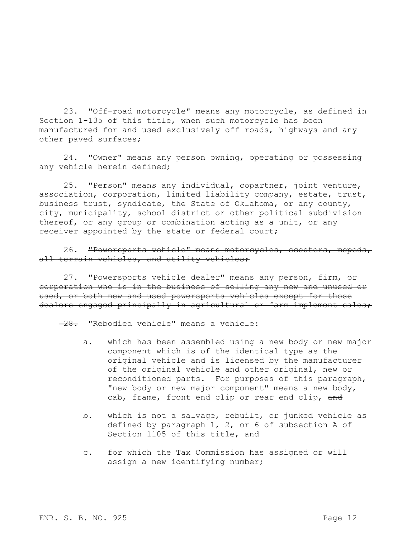23. "Off-road motorcycle" means any motorcycle, as defined in Section 1-135 of this title, when such motorcycle has been manufactured for and used exclusively off roads, highways and any other paved surfaces;

24. "Owner" means any person owning, operating or possessing any vehicle herein defined;

25. "Person" means any individual, copartner, joint venture, association, corporation, limited liability company, estate, trust, business trust, syndicate, the State of Oklahoma, or any county, city, municipality, school district or other political subdivision thereof, or any group or combination acting as a unit, or any receiver appointed by the state or federal court;

26. "Powersports vehicle" means motorcycles, scooters, mopeds, all-terrain vehicles, and utility vehicles;

27. "Powersports vehicle dealer" means any person, firm, or corporation who is in the business of selling any new and unused or used, or both new and used powersports vehicles except for those dealers engaged principally in agricultural or farm implement sales;

 $-28.$  "Rebodied vehicle" means a vehicle:

- a. which has been assembled using a new body or new major component which is of the identical type as the original vehicle and is licensed by the manufacturer of the original vehicle and other original, new or reconditioned parts. For purposes of this paragraph, "new body or new major component" means a new body, cab, frame, front end clip or rear end clip, and
- b. which is not a salvage, rebuilt, or junked vehicle as defined by paragraph 1, 2, or 6 of subsection A of Section 1105 of this title, and
- c. for which the Tax Commission has assigned or will assign a new identifying number;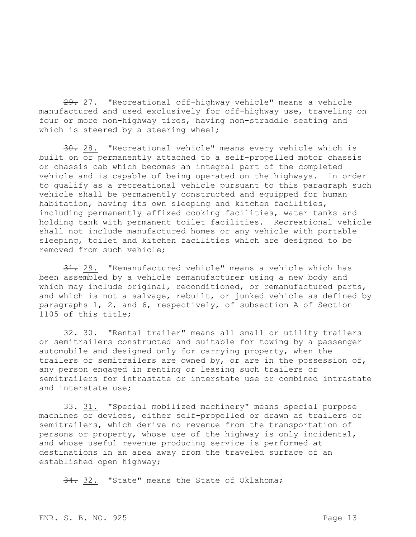29. 27. "Recreational off-highway vehicle" means a vehicle manufactured and used exclusively for off-highway use, traveling on four or more non-highway tires, having non-straddle seating and which is steered by a steering wheel;

30. 28. "Recreational vehicle" means every vehicle which is built on or permanently attached to a self-propelled motor chassis or chassis cab which becomes an integral part of the completed vehicle and is capable of being operated on the highways. In order to qualify as a recreational vehicle pursuant to this paragraph such vehicle shall be permanently constructed and equipped for human habitation, having its own sleeping and kitchen facilities, including permanently affixed cooking facilities, water tanks and holding tank with permanent toilet facilities. Recreational vehicle shall not include manufactured homes or any vehicle with portable sleeping, toilet and kitchen facilities which are designed to be removed from such vehicle;

31. 29. "Remanufactured vehicle" means a vehicle which has been assembled by a vehicle remanufacturer using a new body and which may include original, reconditioned, or remanufactured parts, and which is not a salvage, rebuilt, or junked vehicle as defined by paragraphs 1, 2, and 6, respectively, of subsection A of Section 1105 of this title;

32. 30. "Rental trailer" means all small or utility trailers or semitrailers constructed and suitable for towing by a passenger automobile and designed only for carrying property, when the trailers or semitrailers are owned by, or are in the possession of, any person engaged in renting or leasing such trailers or semitrailers for intrastate or interstate use or combined intrastate and interstate use;

33. 31. "Special mobilized machinery" means special purpose machines or devices, either self-propelled or drawn as trailers or semitrailers, which derive no revenue from the transportation of persons or property, whose use of the highway is only incidental, and whose useful revenue producing service is performed at destinations in an area away from the traveled surface of an established open highway;

34. 32. "State" means the State of Oklahoma;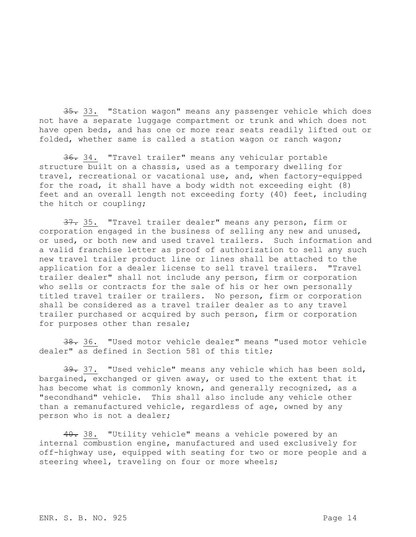35. 33. "Station wagon" means any passenger vehicle which does not have a separate luggage compartment or trunk and which does not have open beds, and has one or more rear seats readily lifted out or folded, whether same is called a station wagon or ranch wagon;

36. 34. "Travel trailer" means any vehicular portable structure built on a chassis, used as a temporary dwelling for travel, recreational or vacational use, and, when factory-equipped for the road, it shall have a body width not exceeding eight (8) feet and an overall length not exceeding forty (40) feet, including the hitch or coupling;

37. 35. "Travel trailer dealer" means any person, firm or corporation engaged in the business of selling any new and unused, or used, or both new and used travel trailers. Such information and a valid franchise letter as proof of authorization to sell any such new travel trailer product line or lines shall be attached to the application for a dealer license to sell travel trailers. "Travel trailer dealer" shall not include any person, firm or corporation who sells or contracts for the sale of his or her own personally titled travel trailer or trailers. No person, firm or corporation shall be considered as a travel trailer dealer as to any travel trailer purchased or acquired by such person, firm or corporation for purposes other than resale;

38. 36. "Used motor vehicle dealer" means "used motor vehicle dealer" as defined in Section 581 of this title;

39. 37. "Used vehicle" means any vehicle which has been sold, bargained, exchanged or given away, or used to the extent that it has become what is commonly known, and generally recognized, as a "secondhand" vehicle. This shall also include any vehicle other than a remanufactured vehicle, regardless of age, owned by any person who is not a dealer;

40. 38. "Utility vehicle" means a vehicle powered by an internal combustion engine, manufactured and used exclusively for off-highway use, equipped with seating for two or more people and a steering wheel, traveling on four or more wheels;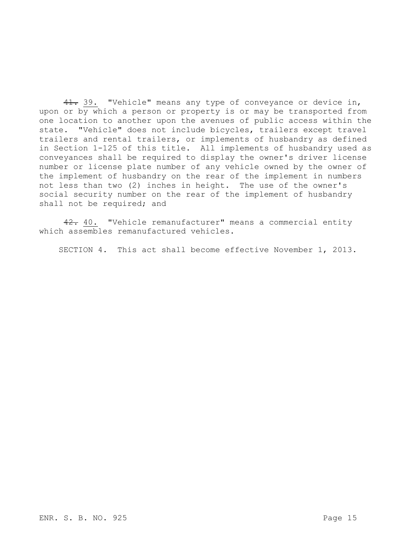41. 39. "Vehicle" means any type of conveyance or device in, upon or by which a person or property is or may be transported from one location to another upon the avenues of public access within the state. "Vehicle" does not include bicycles, trailers except travel trailers and rental trailers, or implements of husbandry as defined in Section 1-125 of this title. All implements of husbandry used as conveyances shall be required to display the owner's driver license number or license plate number of any vehicle owned by the owner of the implement of husbandry on the rear of the implement in numbers not less than two (2) inches in height. The use of the owner's social security number on the rear of the implement of husbandry shall not be required; and

42. 40. "Vehicle remanufacturer" means a commercial entity which assembles remanufactured vehicles.

SECTION 4. This act shall become effective November 1, 2013.